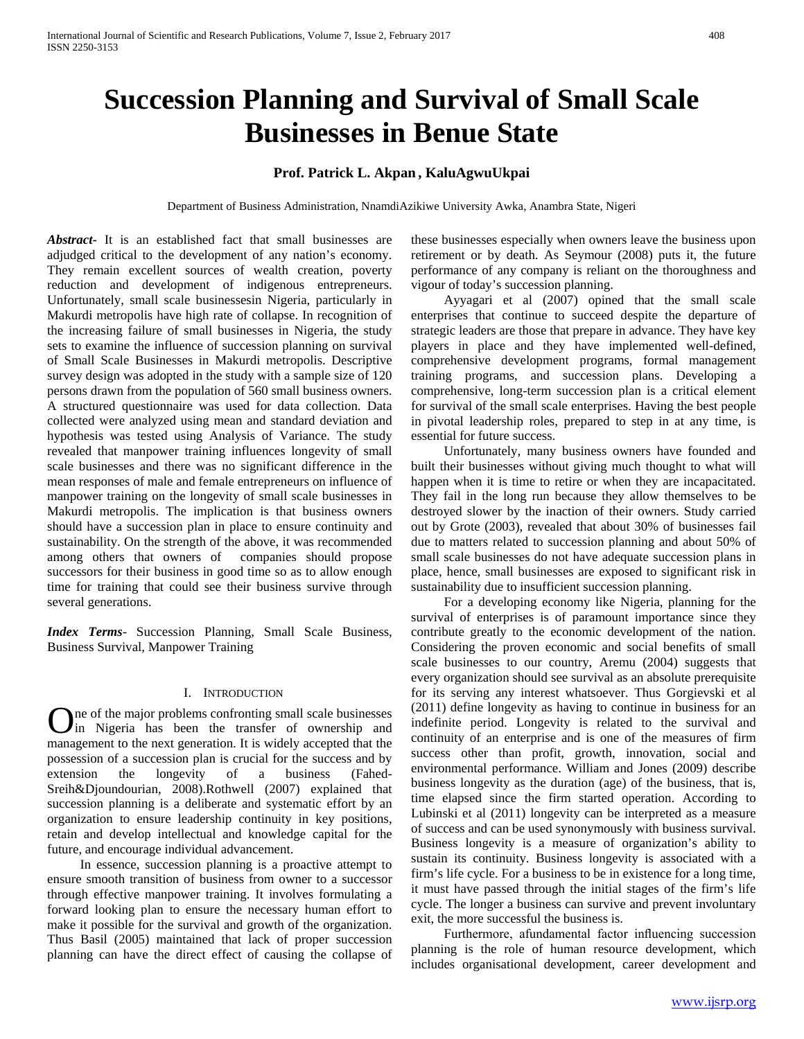# **Succession Planning and Survival of Small Scale Businesses in Benue State**

# **Prof. Patrick L. Akpan , KaluAgwuUkpai**

Department of Business Administration, NnamdiAzikiwe University Awka, Anambra State, Nigeri

*Abstract***-** It is an established fact that small businesses are adjudged critical to the development of any nation's economy. They remain excellent sources of wealth creation, poverty reduction and development of indigenous entrepreneurs. Unfortunately, small scale businessesin Nigeria, particularly in Makurdi metropolis have high rate of collapse. In recognition of the increasing failure of small businesses in Nigeria, the study sets to examine the influence of succession planning on survival of Small Scale Businesses in Makurdi metropolis. Descriptive survey design was adopted in the study with a sample size of 120 persons drawn from the population of 560 small business owners. A structured questionnaire was used for data collection. Data collected were analyzed using mean and standard deviation and hypothesis was tested using Analysis of Variance. The study revealed that manpower training influences longevity of small scale businesses and there was no significant difference in the mean responses of male and female entrepreneurs on influence of manpower training on the longevity of small scale businesses in Makurdi metropolis. The implication is that business owners should have a succession plan in place to ensure continuity and sustainability. On the strength of the above, it was recommended among others that owners of companies should propose successors for their business in good time so as to allow enough time for training that could see their business survive through several generations.

*Index Terms*- Succession Planning, Small Scale Business, Business Survival, Manpower Training

## I. INTRODUCTION

ne of the major problems confronting small scale businesses in Nigeria has been the transfer of ownership and **O**ne of the major problems confronting small scale businesses in Nigeria has been the transfer of ownership and management to the next generation. It is widely accepted that the possession of a succession plan is crucial for the success and by extension the longevity of a business (Fahed-Sreih&Djoundourian, 2008).Rothwell (2007) explained that succession planning is a deliberate and systematic effort by an organization to ensure leadership continuity in key positions, retain and develop intellectual and knowledge capital for the future, and encourage individual advancement.

 In essence, succession planning is a proactive attempt to ensure smooth transition of business from owner to a successor through effective manpower training. It involves formulating a forward looking plan to ensure the necessary human effort to make it possible for the survival and growth of the organization. Thus Basil (2005) maintained that lack of proper succession planning can have the direct effect of causing the collapse of these businesses especially when owners leave the business upon retirement or by death. As Seymour (2008) puts it, the future performance of any company is reliant on the thoroughness and vigour of today's succession planning.

 Ayyagari et al (2007) opined that the small scale enterprises that continue to succeed despite the departure of strategic leaders are those that prepare in advance. They have key players in place and they have implemented well-defined, comprehensive development programs, formal management training programs, and succession plans. Developing a comprehensive, long-term succession plan is a critical element for survival of the small scale enterprises. Having the best people in pivotal leadership roles, prepared to step in at any time, is essential for future success.

 Unfortunately, many business owners have founded and built their businesses without giving much thought to what will happen when it is time to retire or when they are incapacitated. They fail in the long run because they allow themselves to be destroyed slower by the inaction of their owners. Study carried out by Grote (2003), revealed that about 30% of businesses fail due to matters related to succession planning and about 50% of small scale businesses do not have adequate succession plans in place, hence, small businesses are exposed to significant risk in sustainability due to insufficient succession planning.

 For a developing economy like Nigeria, planning for the survival of enterprises is of paramount importance since they contribute greatly to the economic development of the nation. Considering the proven economic and social benefits of small scale businesses to our country, Aremu (2004) suggests that every organization should see survival as an absolute prerequisite for its serving any interest whatsoever. Thus Gorgievski et al (2011) define longevity as having to continue in business for an indefinite period. Longevity is related to the survival and continuity of an enterprise and is one of the measures of firm success other than profit, growth, innovation, social and environmental performance. William and Jones (2009) describe business longevity as the duration (age) of the business, that is, time elapsed since the firm started operation. According to Lubinski et al (2011) longevity can be interpreted as a measure of success and can be used synonymously with business survival. Business longevity is a measure of organization's ability to sustain its continuity. Business longevity is associated with a firm's life cycle. For a business to be in existence for a long time, it must have passed through the initial stages of the firm's life cycle. The longer a business can survive and prevent involuntary exit, the more successful the business is.

 Furthermore, afundamental factor influencing succession planning is the role of human resource development, which includes organisational development, career development and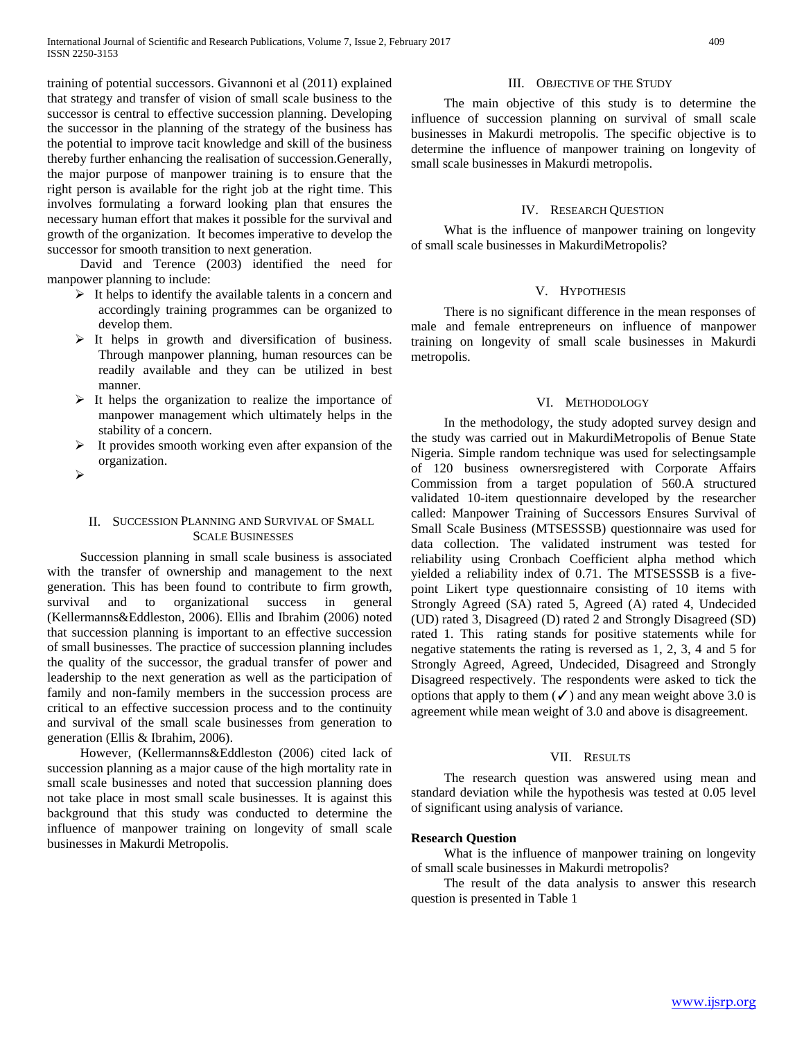training of potential successors. Givannoni et al (2011) explained that strategy and transfer of vision of small scale business to the successor is central to effective succession planning. Developing the successor in the planning of the strategy of the business has the potential to improve tacit knowledge and skill of the business thereby further enhancing the realisation of succession.Generally, the major purpose of manpower training is to ensure that the right person is available for the right job at the right time. This involves formulating a forward looking plan that ensures the necessary human effort that makes it possible for the survival and growth of the organization. It becomes imperative to develop the successor for smooth transition to next generation.

 David and Terence (2003) identified the need for manpower planning to include:

- $\triangleright$  It helps to identify the available talents in a concern and accordingly training programmes can be organized to develop them.
- $\triangleright$  It helps in growth and diversification of business. Through manpower planning, human resources can be readily available and they can be utilized in best manner.
- $\triangleright$  It helps the organization to realize the importance of manpower management which ultimately helps in the stability of a concern.
- $\triangleright$  It provides smooth working even after expansion of the organization.
- $\blacktriangleright$

## II. SUCCESSION PLANNING AND SURVIVAL OF SMALL SCALE BUSINESSES

 Succession planning in small scale business is associated with the transfer of ownership and management to the next generation. This has been found to contribute to firm growth, survival and to organizational success in general (Kellermanns&Eddleston, 2006). Ellis and Ibrahim (2006) noted that succession planning is important to an effective succession of small businesses. The practice of succession planning includes the quality of the successor, the gradual transfer of power and leadership to the next generation as well as the participation of family and non-family members in the succession process are critical to an effective succession process and to the continuity and survival of the small scale businesses from generation to generation (Ellis & Ibrahim, 2006).

 However, (Kellermanns&Eddleston (2006) cited lack of succession planning as a major cause of the high mortality rate in small scale businesses and noted that succession planning does not take place in most small scale businesses. It is against this background that this study was conducted to determine the influence of manpower training on longevity of small scale businesses in Makurdi Metropolis.

### III. OBJECTIVE OF THE STUDY

 The main objective of this study is to determine the influence of succession planning on survival of small scale businesses in Makurdi metropolis. The specific objective is to determine the influence of manpower training on longevity of small scale businesses in Makurdi metropolis.

## IV. RESEARCH QUESTION

 What is the influence of manpower training on longevity of small scale businesses in MakurdiMetropolis?

#### V. HYPOTHESIS

 There is no significant difference in the mean responses of male and female entrepreneurs on influence of manpower training on longevity of small scale businesses in Makurdi metropolis.

### VI. METHODOLOGY

 In the methodology, the study adopted survey design and the study was carried out in MakurdiMetropolis of Benue State Nigeria. Simple random technique was used for selectingsample of 120 business ownersregistered with Corporate Affairs Commission from a target population of 560.A structured validated 10-item questionnaire developed by the researcher called: Manpower Training of Successors Ensures Survival of Small Scale Business (MTSESSSB) questionnaire was used for data collection. The validated instrument was tested for reliability using Cronbach Coefficient alpha method which yielded a reliability index of 0.71. The MTSESSSB is a fivepoint Likert type questionnaire consisting of 10 items with Strongly Agreed (SA) rated 5, Agreed (A) rated 4, Undecided (UD) rated 3, Disagreed (D) rated 2 and Strongly Disagreed (SD) rated 1. This rating stands for positive statements while for negative statements the rating is reversed as 1, 2, 3, 4 and 5 for Strongly Agreed, Agreed, Undecided, Disagreed and Strongly Disagreed respectively. The respondents were asked to tick the options that apply to them  $(\checkmark)$  and any mean weight above 3.0 is agreement while mean weight of 3.0 and above is disagreement.

## VII. RESULTS

 The research question was answered using mean and standard deviation while the hypothesis was tested at 0.05 level of significant using analysis of variance.

#### **Research Question**

 What is the influence of manpower training on longevity of small scale businesses in Makurdi metropolis?

 The result of the data analysis to answer this research question is presented in Table 1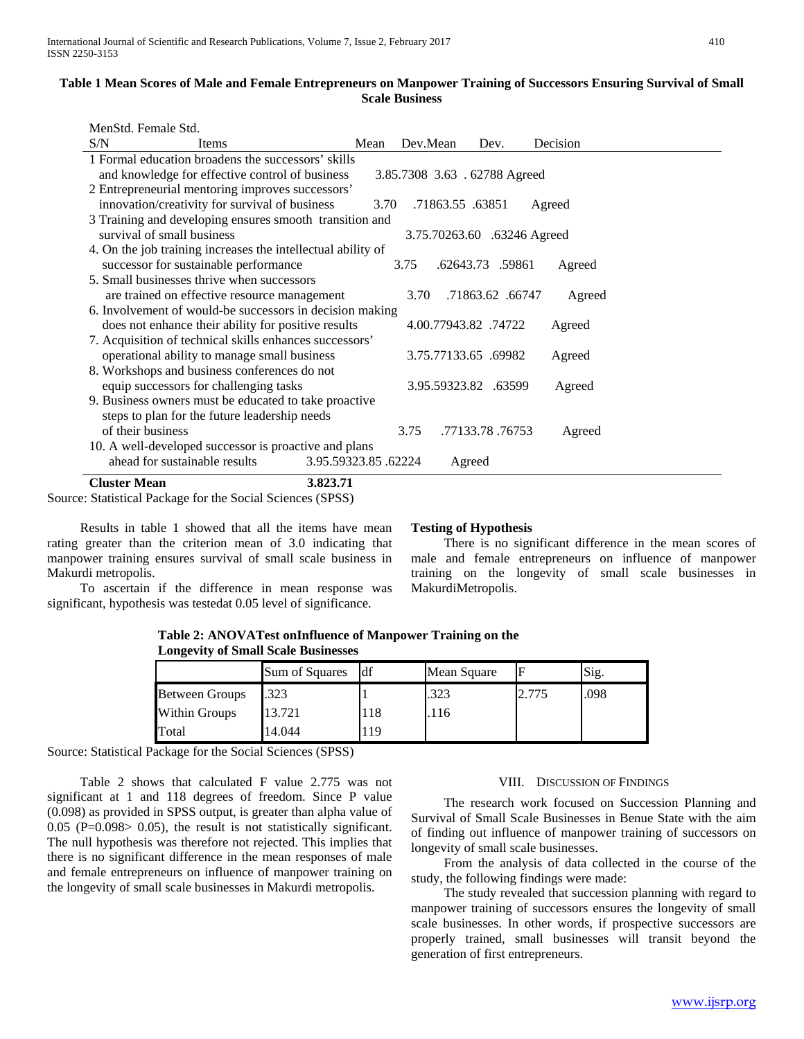## **Table 1 Mean Scores of Male and Female Entrepreneurs on Manpower Training of Successors Ensuring Survival of Small Scale Business**

| MenStd. Female Std.                                                             |                     |                      |                  |          |  |  |  |  |
|---------------------------------------------------------------------------------|---------------------|----------------------|------------------|----------|--|--|--|--|
| S/N<br><b>Items</b>                                                             | Mean                | Dev.Mean             | Dev.             | Decision |  |  |  |  |
| 1 Formal education broadens the successors' skills                              |                     |                      |                  |          |  |  |  |  |
| and knowledge for effective control of business<br>3.85.7308 3.63 .62788 Agreed |                     |                      |                  |          |  |  |  |  |
| 2 Entrepreneurial mentoring improves successors'                                |                     |                      |                  |          |  |  |  |  |
| innovation/creativity for survival of business                                  | 3.70                | .71863.55 .63851     |                  | Agreed   |  |  |  |  |
| 3 Training and developing ensures smooth transition and                         |                     |                      |                  |          |  |  |  |  |
| survival of small business<br>3.75.70263.60 .63246 Agreed                       |                     |                      |                  |          |  |  |  |  |
| 4. On the job training increases the intellectual ability of                    |                     |                      |                  |          |  |  |  |  |
| successor for sustainable performance                                           |                     | 3.75                 | .62643.73 .59861 | Agreed   |  |  |  |  |
| 5. Small businesses thrive when successors                                      |                     |                      |                  |          |  |  |  |  |
| are trained on effective resource management                                    |                     | 3.70                 | .71863.62. 06747 | Agreed   |  |  |  |  |
| 6. Involvement of would-be successors in decision making                        |                     |                      |                  |          |  |  |  |  |
| does not enhance their ability for positive results                             |                     | 4.00.77943.82.74722  |                  | Agreed   |  |  |  |  |
| 7. Acquisition of technical skills enhances successors'                         |                     |                      |                  |          |  |  |  |  |
| operational ability to manage small business                                    |                     | 3.75.77133.65 .69982 |                  | Agreed   |  |  |  |  |
| 8. Workshops and business conferences do not                                    |                     |                      |                  |          |  |  |  |  |
| equip successors for challenging tasks                                          |                     | 3.95.59323.82 .63599 |                  | Agreed   |  |  |  |  |
| 9. Business owners must be educated to take proactive                           |                     |                      |                  |          |  |  |  |  |
| steps to plan for the future leadership needs                                   |                     |                      |                  |          |  |  |  |  |
| of their business                                                               |                     | 3.75                 | .77133.78.76753  | Agreed   |  |  |  |  |
| 10. A well-developed successor is proactive and plans                           |                     |                      |                  |          |  |  |  |  |
| ahead for sustainable results                                                   | 3.95.59323.85.62224 |                      | Agreed           |          |  |  |  |  |
| <b>Cluster Mean</b>                                                             | 3.823.71            |                      |                  |          |  |  |  |  |

Source: Statistical Package for the Social Sciences (SPSS)

 Results in table 1 showed that all the items have mean rating greater than the criterion mean of 3.0 indicating that manpower training ensures survival of small scale business in Makurdi metropolis.

 To ascertain if the difference in mean response was significant, hypothesis was testedat 0.05 level of significance.

## **Testing of Hypothesis**

 There is no significant difference in the mean scores of male and female entrepreneurs on influence of manpower training on the longevity of small scale businesses in MakurdiMetropolis.

**Table 2: ANOVATest onInfluence of Manpower Training on the Longevity of Small Scale Businesses** 

|                       | <b>Sum of Squares</b> | ldf | Mean Square |       | Sig. |
|-----------------------|-----------------------|-----|-------------|-------|------|
| <b>Between Groups</b> | .323                  |     | .323        | 2.775 | .098 |
| Within Groups         | 13.721                |     | .116        |       |      |
| Total                 | 14.044                | 19  |             |       |      |

Source: Statistical Package for the Social Sciences (SPSS)

 Table 2 shows that calculated F value 2.775 was not significant at 1 and 118 degrees of freedom. Since P value (0.098) as provided in SPSS output, is greater than alpha value of 0.05 ( $P=0.098>$  0.05), the result is not statistically significant. The null hypothesis was therefore not rejected. This implies that there is no significant difference in the mean responses of male and female entrepreneurs on influence of manpower training on the longevity of small scale businesses in Makurdi metropolis.

## VIII. DISCUSSION OF FINDINGS

 The research work focused on Succession Planning and Survival of Small Scale Businesses in Benue State with the aim of finding out influence of manpower training of successors on longevity of small scale businesses.

 From the analysis of data collected in the course of the study, the following findings were made:

 The study revealed that succession planning with regard to manpower training of successors ensures the longevity of small scale businesses. In other words, if prospective successors are properly trained, small businesses will transit beyond the generation of first entrepreneurs.